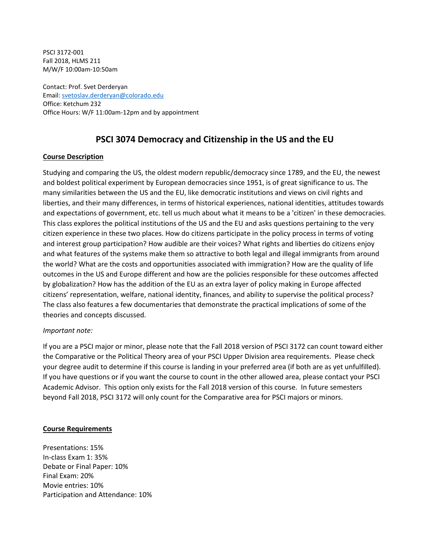PSCI 3172-001 Fall 2018, HLMS 211 M/W/F 10:00am-10:50am

Contact: Prof. Svet Derderyan Email: [svetoslav.derderyan@colorado.edu](mailto:svetoslav.derderyan@colorado.edu) Office: Ketchum 232 Office Hours: W/F 11:00am-12pm and by appointment

# **PSCI 3074 Democracy and Citizenship in the US and the EU**

## **Course Description**

Studying and comparing the US, the oldest modern republic/democracy since 1789, and the EU, the newest and boldest political experiment by European democracies since 1951, is of great significance to us. The many similarities between the US and the EU, like democratic institutions and views on civil rights and liberties, and their many differences, in terms of historical experiences, national identities, attitudes towards and expectations of government, etc. tell us much about what it means to be а 'citizen' in these democracies. This class explores the political institutions of the US and the EU and asks questions pertaining to the very citizen experience in these two places. How do citizens participate in the policy process in terms of voting and interest group participation? How audible are their voices? What rights and liberties do citizens enjoy and what features of the systems make them so attractive to both legal and illegal immigrants from around the world? What are the costs and opportunities associated with immigration? How are the quality of life outcomes in the US and Europe different and how are the policies responsible for these outcomes affected by globalization? How has the addition of the EU as an extra layer of policy making in Europe affected citizens' representation, welfare, national identity, finances, and ability to supervise the political process? The class also features a few documentaries that demonstrate the practical implications of some of the theories and concepts discussed.

### *Important note:*

If you are a PSCI major or minor, please note that the Fall 2018 version of PSCI 3172 can count toward either the Comparative or the Political Theory area of your PSCI Upper Division area requirements. Please check your degree audit to determine if this course is landing in your preferred area (if both are as yet unfulfilled). If you have questions or if you want the course to count in the other allowed area, please contact your PSCI Academic Advisor. This option only exists for the Fall 2018 version of this course. In future semesters beyond Fall 2018, PSCI 3172 will only count for the Comparative area for PSCI majors or minors.

### **Course Requirements**

Presentations: 15% In-class Exam 1: 35% Debate or Final Paper: 10% Final Exam: 20% Movie entries: 10% Participation and Attendance: 10%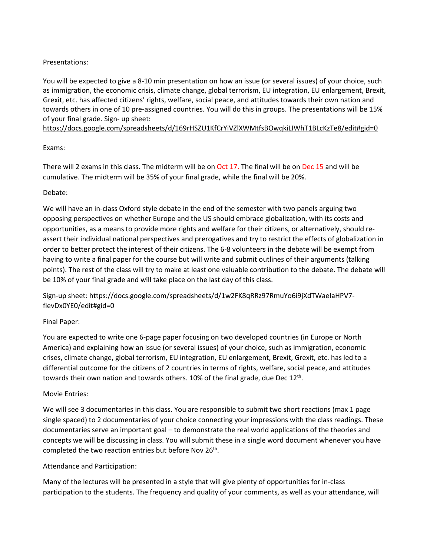# Presentations:

You will be expected to give a 8-10 min presentation on how an issue (or several issues) of your choice, such as immigration, the economic crisis, climate change, global terrorism, EU integration, EU enlargement, Brexit, Grexit, etc. has affected citizens' rights, welfare, social peace, and attitudes towards their own nation and towards others in one of 10 pre-assigned countries. You will do this in groups. The presentations will be 15% of your final grade. Sign- up sheet:

<https://docs.google.com/spreadsheets/d/169rHSZU1KfCrYiVZlXWMtfsBOwqkiLIWhT1BLcKzTe8/edit#gid=0>

## Exams:

There will 2 exams in this class. The midterm will be on Oct 17. The final will be on Dec 15 and will be cumulative. The midterm will be 35% of your final grade, while the final will be 20%.

## Debate:

We will have an in-class Oxford style debate in the end of the semester with two panels arguing two opposing perspectives on whether Europe and the US should embrace globalization, with its costs and opportunities, as a means to provide more rights and welfare for their citizens, or alternatively, should reassert their individual national perspectives and prerogatives and try to restrict the effects of globalization in order to better protect the interest of their citizens. The 6-8 volunteers in the debate will be exempt from having to write a final paper for the course but will write and submit outlines of their arguments (talking points). The rest of the class will try to make at least one valuable contribution to the debate. The debate will be 10% of your final grade and will take place on the last day of this class.

Sign-up sheet: https://docs.google.com/spreadsheets/d/1w2FK8qRRz97RmuYo6i9jXdTWaeIaHPV7 flevDx0YE0/edit#gid=0

### Final Paper:

You are expected to write one 6-page paper focusing on two developed countries (in Europe or North America) and explaining how an issue (or several issues) of your choice, such as immigration, economic crises, climate change, global terrorism, EU integration, EU enlargement, Brexit, Grexit, etc. has led to a differential outcome for the citizens of 2 countries in terms of rights, welfare, social peace, and attitudes towards their own nation and towards others. 10% of the final grade, due Dec  $12<sup>th</sup>$ .

# Movie Entries:

We will see 3 documentaries in this class. You are responsible to submit two short reactions (max 1 page single spaced) to 2 documentaries of your choice connecting your impressions with the class readings. These documentaries serve an important goal – to demonstrate the real world applications of the theories and concepts we will be discussing in class. You will submit these in a single word document whenever you have completed the two reaction entries but before Nov  $26<sup>th</sup>$ .

### Attendance and Participation:

Many of the lectures will be presented in a style that will give plenty of opportunities for in-class participation to the students. The frequency and quality of your comments, as well as your attendance, will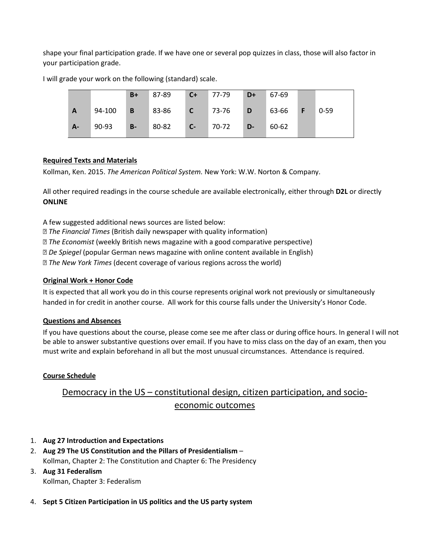shape your final participation grade. If we have one or several pop quizzes in class, those will also factor in your participation grade.

|              |        | $B+$        | 87-89                | $C+$    | $77-79$ | $D+$         | 67-69     |          |
|--------------|--------|-------------|----------------------|---------|---------|--------------|-----------|----------|
| $\mathbf{A}$ | 94-100 | $\mathbf B$ | 83-86 <b>C</b> 73-76 |         |         | D            | $63-66$ F | $0 - 59$ |
| $A -$        | 90-93  | $B-$        | 80-82                | $C - 7$ | $70-72$ | $\sqrt{D-1}$ | 60-62     |          |

I will grade your work on the following (standard) scale.

# **Required Texts and Materials**

Kollman, Ken. 2015. *The American Political System.* New York: W.W. Norton & Company.

All other required readings in the course schedule are available electronically, either through **D2L** or directly **ONLINE**

A few suggested additional news sources are listed below:

*The Financial Times* (British daily newspaper with quality information)

*The Economist* (weekly British news magazine with a good comparative perspective)

*De Spiegel* (popular German news magazine with online content available in English)

*The New York Times* (decent coverage of various regions across the world)

### **Original Work + Honor Code**

It is expected that all work you do in this course represents original work not previously or simultaneously handed in for credit in another course. All work for this course falls under the University's Honor Code.

### **Questions and Absences**

If you have questions about the course, please come see me after class or during office hours. In general I will not be able to answer substantive questions over email. If you have to miss class on the day of an exam, then you must write and explain beforehand in all but the most unusual circumstances. Attendance is required.

# **Course Schedule**

# Democracy in the US – constitutional design, citizen participation, and socioeconomic outcomes

- 1. **Aug 27 Introduction and Expectations**
- 2. **Aug 29 The US Constitution and the Pillars of Presidentialism** Kollman, Chapter 2: The Constitution and Chapter 6: The Presidency
- 3. **Aug 31 Federalism** Kollman, Chapter 3: Federalism
- 4. **Sept 5 Citizen Participation in US politics and the US party system**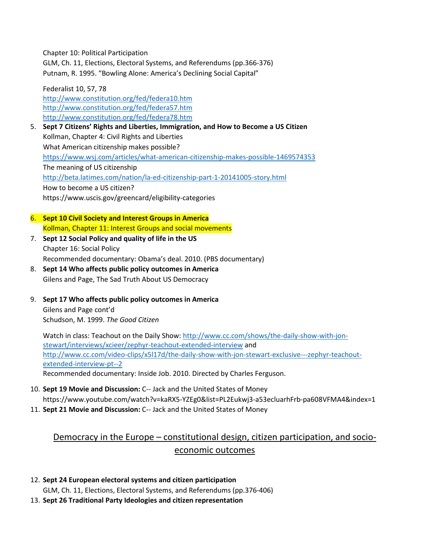Chapter 10: Political Participation

GLM, Ch. 11, Elections, Electoral Systems, and Referendums (pp.366-376) Putnam, R. 1995. "Bowling Alone: America's Declining Social Capital"

Federalist 10, 57, 78 <http://www.constitution.org/fed/federa10.htm> <http://www.constitution.org/fed/federa57.htm> <http://www.constitution.org/fed/federa78.htm>

- 5. **Sept 7 Citizens' Rights and Liberties, Immigration, and How to Become a US Citizen** Kollman, Chapter 4: Civil Rights and Liberties What American citizenship makes possible? [https://www.wsj.com/articles/what](https://www.wsj.com/articles/what-american-citizenship-makes-possible-1469574353)-american-citizenship-makes-possible-1469574353 The meaning of US citizenship [http://beta.latimes.com/nation/la-ed-](http://beta.latimes.com/nation/la-ed-citizenship-part-1-20141005-story.html)citizenship-part-1-20141005-story.html How to become a US citizen? https://www.uscis.gov/greencard/eligibility-categories
- 6. **Sept 10 Civil Society and Interest Groups in America** Kollman, Chapter 11: Interest Groups and social movements
- 7. **Sept 12 Social Policy and quality of life in the US** Chapter 16: Social Policy Recommended documentary: Obama's deal. 2010. (PBS documentary)
- 8. **Sept 14 Who affects public policy outcomes in America** Gilens and Page, The Sad Truth About US Democracy
- 9. **Sept 17 Who affects public policy outcomes in America** Gilens and Page cont'd Schudson, M. 1999. *The Good Citizen*

Watch in class: Teachout on the Daily Show: [http://www.cc.com/shows/the-daily-show-with-](http://www.cc.com/shows/the-daily-show-with-jon-stewart/interviews/xcieer/zephyr-teachout-extended-interview)jon[stewart/interviews/xcieer/zephyr](http://www.cc.com/shows/the-daily-show-with-jon-stewart/interviews/xcieer/zephyr-teachout-extended-interview)-teachout-extended-interview and [http://www.cc.com/video-clips/x5l17d/the-daily-show-with-](http://www.cc.com/video-clips/x5l17d/the-daily-show-with-jon-stewart-exclusive---zephyr-teachout-extended-interview-pt--2)jon-stewart-exclusive---zephyr-teachout[extended-interview-pt--2](http://www.cc.com/video-clips/x5l17d/the-daily-show-with-jon-stewart-exclusive---zephyr-teachout-extended-interview-pt--2) Recommended documentary: Inside Job. 2010. Directed by Charles Ferguson.

- 10. **Sept 19 Movie and Discussion:** C-- Jack and the United States of Money https://www.youtube.com/watch?v=kaRX5-YZEg0&list=PL2Eukwj3-a53ecluarhFrb-pa608VFMA4&index=1
- 11. **Sept 21 Movie and Discussion:** C-- Jack and the United States of Money

# Democracy in the Europe – constitutional design, citizen participation, and socioeconomic outcomes

# 12. **Sept 24 European electoral systems and citizen participation**

GLM, Ch. 11, Elections, Electoral Systems, and Referendums (pp.376-406)

13. **Sept 26 Traditional Party Ideologies and citizen representation**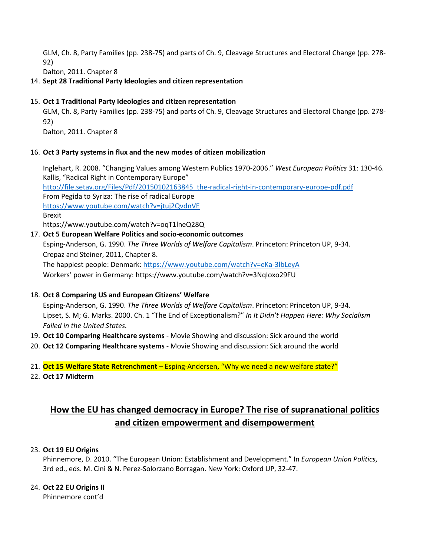GLM, Ch. 8, Party Families (pp. 238-75) and parts of Ch. 9, Cleavage Structures and Electoral Change (pp. 278- 92)

Dalton, 2011. Chapter 8

# 14. **Sept 28 Traditional Party Ideologies and citizen representation**

### 15. **Oct 1 Traditional Party Ideologies and citizen representation**

GLM, Ch. 8, Party Families (pp. 238-75) and parts of Ch. 9, Cleavage Structures and Electoral Change (pp. 278- 92)

Dalton, 2011. Chapter 8

## 16. **Oct 3 Party systems in flux and the new modes of citizen mobilization**

Inglehart, R. 2008. "Changing Values among Western Publics 1970-2006." *West European Politics* 31: 130-46. Kallis, "Radical Right in Contemporary Europe"

[http://file.setav.org/Files/Pdf/20150102163845\\_the-radical-right-in-contemporary-europe-pdf.pdf](http://file.setav.org/Files/Pdf/20150102163845_the-radical-right-in-contemporary-europe-pdf.pdf) From Pegida to Syriza: The rise of radical Europe <https://www.youtube.com/watch?v=jtuj2QvdnVE> Brexit

https://www.youtube.com/watch?v=oqT1lneQ28Q

## 17. **Oct 5 European Welfare Politics and socio-economic outcomes**

Esping-Anderson, G. 1990. *The Three Worlds of Welfare Capitalism*. Princeton: Princeton UP, 9-34. Crepaz and Steiner, 2011, Chapter 8.

The happiest people: Denmark: [https://www.youtube.com/watch?v=eKa](https://www.youtube.com/watch?v=eKa-3lbLeyA)-3lbLeyA Workers' power in Germany: https://www.youtube.com/watch?v=3NqIoxo29FU

# 18. **Oct 8 Comparing US and European Citizens' Welfare**

Esping-Anderson, G. 1990. *The Three Worlds of Welfare Capitalism*. Princeton: Princeton UP, 9-34. Lipset, S. M; G. Marks. 2000. Ch. 1 "The End of Exceptionalism?" *In It Didn't Happen Here: Why Socialism Failed in the United States.*

- 19. **Oct 10 Comparing Healthcare systems** Movie Showing and discussion: Sick around the world
- 20. **Oct 12 Comparing Healthcare systems** Movie Showing and discussion: Sick around the world
- 21. **Oct 15 Welfare State Retrenchment**  Esping-Andersen, "Why we need a new welfare state?"
- 22. **Oct 17 Midterm**

# **How the EU has changed democracy in Europe? The rise of supranational politics and citizen empowerment and disempowerment**

# 23. **Oct 19 EU Origins**

Phinnemore, D. 2010. "The European Union: Establishment and Development." In *European Union Politics*, 3rd ed., eds. M. Cini & N. Perez-Solorzano Borragan. New York: Oxford UP, 32-47.

# 24. **Oct 22 EU Origins II**

Phinnemore cont'd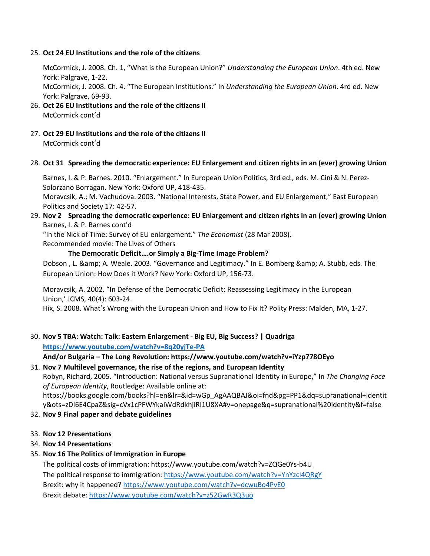### 25. **Oct 24 EU Institutions and the role of the citizens**

McCormick, J. 2008. Ch. 1, "What is the European Union?" *Understanding the European Union*. 4th ed. New York: Palgrave, 1-22.

McCormick, J. 2008. Ch. 4. "The European Institutions." In *Understanding the European Union*. 4rd ed. New York: Palgrave, 69-93.

- 26. **Oct 26 EU Institutions and the role of the citizens II** McCormick cont'd
- 27. **Oct 29 EU Institutions and the role of the citizens II** McCormick cont'd

#### 28. **Oct 31 Spreading the democratic experience: EU Enlargement and citizen rights in an (ever) growing Union**

Barnes, I. & P. Barnes. 2010. "Enlargement." In European Union Politics, 3rd ed., eds. M. Cini & N. Perez-Solorzano Borragan. New York: Oxford UP, 418-435.

Moravcsik, A.; M. Vachudova. 2003. "National Interests, State Power, and EU Enlargement," East European Politics and Society 17: 42-57.

## 29. **Nov 2 Spreading the democratic experience: EU Enlargement and citizen rights in an (ever) growing Union**  Barnes, I. & P. Barnes cont'd

"In the Nick of Time: Survey of EU enlargement." *The Economist* (28 Mar 2008).

Recommended movie: The Lives of Others

### **The Democratic Deficit….or Simply a Big-Time Image Problem?**

Dobson, L. & amp; A. Weale. 2003. "Governance and Legitimacy." In E. Bomberg & amp; A. Stubb, eds. The European Union: How Does it Work? New York: Oxford UP, 156-73.

Moravcsik, A. 2002. "In Defense of the Democratic Deficit: Reassessing Legitimacy in the European Union,' JCMS, 40(4): 603-24.

Hix, S. 2008. What's Wrong with the European Union and How to Fix It? Polity Press: Malden, MA, 1-27.

30. **Nov 5 TBA: Watch: Talk: Eastern Enlargement - Big EU, Big Success? | Quadriga <https://www.youtube.com/watch?v=8q20yjTe-PA>**

**And/or Bulgaria – The Long Revolution: https://www.youtube.com/watch?v=iYzp778OEyo**

31. **Nov 7 Multilevel governance, the rise of the regions, and European Identity** Robyn, Richard, 2005. "Introduction: National versus Supranational Identity in Europe," In *The Changing Face of European Identity*, Routledge: Available online at: https://books.google.com/books?hl=en&lr=&id=wGp\_AgAAQBAJ&oi=fnd&pg=PP1&dq=supranational+identit y&ots=zDI6E4CpaZ&sig=cVx1cPFWYkaIWdRdkhjiRI1U8XA#v=onepage&q=supranational%20identity&f=false

### 32. **Nov 9 Final paper and debate guidelines**

### 33. **Nov 12 Presentations**

### 34. **Nov 14 Presentations**

### 35. **Nov 16 The Politics of Immigration in Europe**

The political costs of immigration: [https://www.youtube.com/watch?v=ZQGe0Ys](https://www.youtube.com/watch?v=ZQGe0Ys-b4U)-b4U The political response to immigration: <https://www.youtube.com/watch?v=YnYzcl4QRgY> Brexit: why it happened? <https://www.youtube.com/watch?v=dcwuBo4PvE0> Brexit debate: <https://www.youtube.com/watch?v=z52GwR3Q3uo>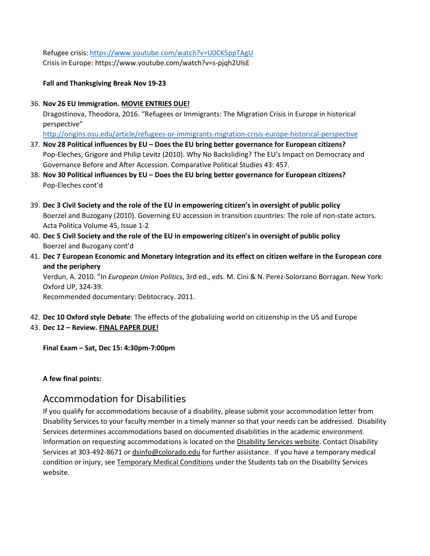Refugee crisis: <https://www.youtube.com/watch?v=U0CK5ppTAgU> Crisis in Europe: https://www.youtube.com/watch?v=s-pjqh2UIsE

**Fall and Thanksgiving Break Nov 19-23**

36. **Nov 26 EU Immigration. MOVIE ENTRIES DUE!**

Dragostinova, Theodora, 2016. "Refugees or Immigrants: The Migration Crisis in Europe in historical perspective"

<http://origins.osu.edu/article/refugees-or-immigrants-migration-crisis-europe-historical-perspective>

- 37. **Nov 28 Political influences by EU – Does the EU bring better governance for European citizens?** Pop-Eleches, Grigore and Philip Levitz (2010). Why No Backsliding? The EU's Impact on Democracy and Governance Before and After Accession. Comparative Political Studies 43: 457.
- 38. **Nov 30 Political influences by EU – Does the EU bring better governance for European citizens?**  Pop-Eleches cont'd
- 39. **Dec 3 Civil Society and the role of the EU in empowering citizen's in oversight of public policy** Boerzel and Buzogany (2010). Governing EU accession in transition countries: The role of non-state actors. Acta Politica Volume 45, Issue 1-2
- 40. **Dec 5 Civil Society and the role of the EU in empowering citizen's in oversight of public policy** Boerzel and Buzogany cont'd
- 41. **Dec 7 European Economic and Monetary Integration and its effect on citizen welfare in the European core and the periphery**

Verdun, A. 2010. "In *European Union Politics*, 3rd ed., eds. M. Cini & N. Perez-Solorzano Borragan. New York: Oxford UP, 324-39.

Recommended documentary: Debtocracy. 2011.

42. **Dec 10 Oxford style Debate**: The effects of the globalizing world on citizenship in the US and Europe

# 43. **Dec 12 – Review. FINAL PAPER DUE!**

**Final Exam – Sat, Dec 15: 4:30pm-7:00pm**

# **A few final points:**

# Accommodation for Disabilities

If you qualify for accommodations because of a disability, please submit your accommodation letter from Disability Services to your faculty member in a timely manner so that your needs can be addressed. Disability Services determines accommodations based on documented disabilities in the academic environment. Information on requesting accommodations is located on the [Disability Services website.](http://www.colorado.edu/disabilityservices/students) Contact Disability Services at 303-492-8671 o[r dsinfo@colorado.edu](mailto:dsinfo@colorado.edu) for further assistance. If you have a temporary medical condition or injury, see Temporary [Medical Conditions](http://www.colorado.edu/disabilityservices/students/temporary-medical-conditions) under the Students tab on the Disability Services website.